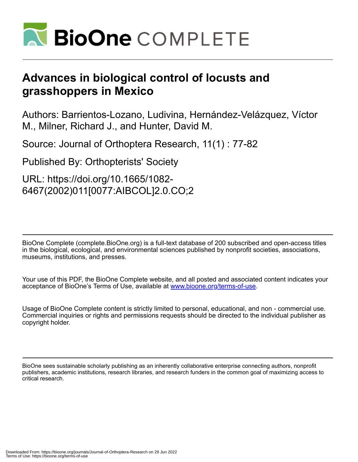

# **Advances in biological control of locusts and grasshoppers in Mexico**

Authors: Barrientos-Lozano, Ludivina, Hernández-Velázquez, Víctor M., Milner, Richard J., and Hunter, David M.

Source: Journal of Orthoptera Research, 11(1) : 77-82

Published By: Orthopterists' Society

URL: https://doi.org/10.1665/1082- 6467(2002)011[0077:AIBCOL]2.0.CO;2

BioOne Complete (complete.BioOne.org) is a full-text database of 200 subscribed and open-access titles in the biological, ecological, and environmental sciences published by nonprofit societies, associations, museums, institutions, and presses.

Your use of this PDF, the BioOne Complete website, and all posted and associated content indicates your acceptance of BioOne's Terms of Use, available at www.bioone.org/terms-of-use.

Usage of BioOne Complete content is strictly limited to personal, educational, and non - commercial use. Commercial inquiries or rights and permissions requests should be directed to the individual publisher as copyright holder.

BioOne sees sustainable scholarly publishing as an inherently collaborative enterprise connecting authors, nonprofit publishers, academic institutions, research libraries, and research funders in the common goal of maximizing access to critical research.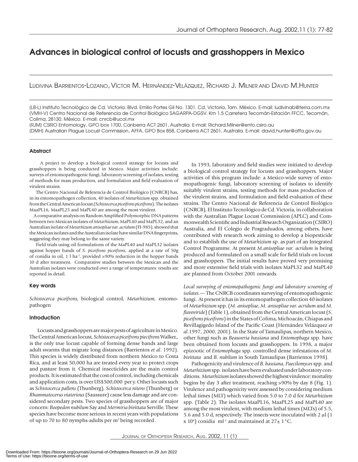# Advances in biological control of locusts and grasshoppers in Mexico

LUDIVINA BARRIENTOS-LOZANO, VÍCTOR M. HERNÁNDEZ-VELÁZQUEZ, RICHARD J. MILNER AND DAVID M.HUNTER

[LB-L] Instituto Tecnológico de Cd. Victoria. Blvd. Emilio Portes Gil No. 1301. Cd. Victoria, Tam. México. E-mail: ludivinab@terra.com.mx [VMH-V] Centro Nacional de Referencia de Control Biológico SAGARPA-DGSV. Km 1.5 Carretera Tecomán-Estación FFCC, Tecomán, Colima, 28130. México. E-mail: cnrcb@ucol.mx

[RJM] CSIRO Entomology, GPO box 1700, Canberra ACT 2601, Australia. E-mail: Richard.Milner@ento.csiro.au [DMH] Australian Plague Locust Commission, AFFA, GPO Box 858, Canberra ACT 2601, Australia. E-mail: david.hunter@affa.gov.au

# **Abstract**

 A project to develop a biological control strategy for locusts and grasshoppers is being conducted in Mexico. Major activities include: surveys of entomopathogenic fungi, laboratory screening of isolates, testing of methods for mass production, and formulation and field evaluation of virulent strains.

 The Centro Nacional de Referencia de Control Biológico (CNRCB) has, in its entomopathogen collection, 40 isolates of *Metarhizium* spp. obtained from the Central American locust  *(Schistocerca piceifrons piceifrons (Schistocercapiceifronspiceifrons*)*.* The iso lates MaaPL16, MaaPL25 and MaPL40 are among the most virulent.

A comparative analysis on Random Amplified Polymorphic DNA patterns between two Mexican isolates of *Metarhizium*, MaPL40 and MaPL32, and an Australian iso late of *Metarhizum anisopliae var. acridum* (FI-985), showed that the Mexican isolates and the Australian isolate have similar DNA fingerprints, suggesting they may belong to the same variety.

 Field trials using oil formulations of the MaPL40 and MaPL32 isolates against hopper bands of *S. piceifrons piceifrons*, applied at a rate of 50g of conidia in oil, 1 l ha<sup>-1</sup>, provided >90% reduction in the hopper bands 10 d after treatment. Comparative studies between the Mexican and the Australian isolates were conducted over a range of temperatures: results are reported in detail.

#### Key words

*Schistocerca piceifrons,* biological control, *Metarhizium,* entomopathogen

# Introduction

 Locusts and grasshoppers are major pests of agriculture in Mexico. The Central American locust, *Schistocerca piceifrons piecifrons* Walker,, is the only true locust capable of forming dense bands and large adult swarms that migrate long distances (Barrientos et al. 1992). This species is widely distributed from northern Mexico to Costa Rica, and at least 50,000 ha are treated every year to protect crops and pasture from it. Chemical insecticides are the main control products. It is estimated that the cost of control, including chemicals and application costs, is over US\$500,000 per y. Other locusts such as *Schistocerca pallens* (Thunberg)*, Schistocerca nitens* (Thunberg) or *Rhammatocerus viatorious* (Saussure) cause less dam age and are con sidered secondary pests. Two species of grasshoppers are of major concern: *Boopedon nubilum* Say and *Mermiria bivittata* Serville. These species have become more serious in recent years with populations of up to 70 to 80 nymphs-adults per m<sup>2</sup> being recorded.

In 1993, laboratory and field studies were initiated to develop a biological control strategy for locusts and grasshoppers. Major activities of this program include: a Mexico-wide survey of entomopathogenic fungi, laboratory screening of isolates to identify suitably virulent strains, testing methods for mass production of the virulent strains, and formulation and field evaluation of these strains. The Centro Nacional de Referencia de Control Biológico (CNRCB), El Instituto Tecnológico de Cd. Victoria, in collaboration with the Australian Plague Locust Commission (APLC) and Commonwealth Scientific and Industrial Research Organization (CSIRO) Australia, and El Colegio de Posgraduados, among others, have contributed with research work aiming to develop a biopesticide and to establish the use of *Metarhizium* sp. as part of an Integrated Control Programme. At present *M.anisopliae var. acridum* is being produced and formulated on a small scale for field trials on locust and grasshoppers. The initial results have proved very promising and more extensive field trials with isolates MaPL32 and MaPL40 are planned from October 2001 onwards.

Local surveying of entomopathogenic fungi and laboratory screening of isolates. - The CNRCB coordinates surveying of entomopathogenic fungi. At present it has in its entomopathogen collection 40 isolates of *Metarhizium* spp. (*M. anisopliae*, *M. anisopliae var. acridum* and *M. flavoviride*) (Table 1), obtained from the Central American locust (*S. piceifrons piceifrons*) in the States of Colima, Michoacán, Chiapas and Revillagigedo Island of the Pacific Coast (Hernández Velázquez et *al.*1997, 2000, 2001). In the State of Tamaulipas, northern Mexico, other fungi such as *Beauveria bassiana* and *Entomophaga* spp. have been obtained from locusts and grasshoppers. In 1998, a major epizootic of *Entomophaga* spp. controlled dense infestations of *M*. *bivittata* and *B. nubilum* in South Tamaulipas (Barrientos 1998).

 Pathogenicity and virulence of *B. bassiana, Paecilomyces* spp*.* and *Metarhizium* spp*.* isolates have been evaluated under laboratory conditions. *Metarhizium* isolates showed the highest virulence: mortality begins by day 3 after treatment, reaching  $> 90\%$  by day 8 (Fig. 1). Virulence and pathogenicity were assessed by considering medium lethal times (MLT) which varied from 5.0 to 7.0 d for *Metarhizium*  spp*.* (Table 2). The isolates MaaPL16, MaaPL25 and MaPL40 are among the most virulent, with medium lethal times (MLTs) of 5.5, 5.6 and 5.0 d, respectively. The insects were inoculated with 2  $\mu$ l (1 x 10<sup>8</sup>) conidia ml<sup>-1</sup> and maintained at  $27 \pm 1$  °C.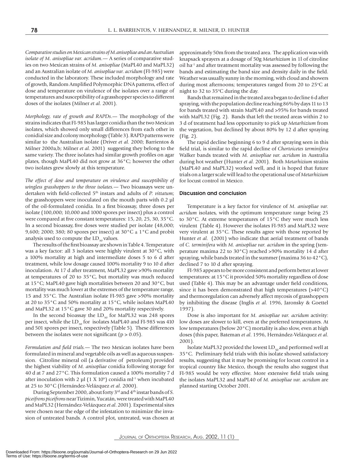*Comparative studies on Mexican strains of M.anisopliae and an Australian isolate of M. anisopliae var. acridum.—* A series of comparative studies on two Mexican strains of *M. anisopliae* (MaPL40 and MaPL32) and an Australian isolate of *M. anisopliae var. acridum* (FI-985) were conducted in the laboratory. These included morphology and rate of growth, Random Amplified Polymorphic DNA patterns, effect of dose and temperature on virulence of the isolates over a range of temperatures and susceptibility of a grasshopper species to different doses of the isolates (Milner *et al*. 2001).

*Morphology, rate of growth and RAPDs.*— The morphology of the strains indicates that FI-985 has larger conidia than the two Mexican isolates, which showed only small differences from each other in conidial size and colony morphology (Table 3). RAPD patterns were similar to the Australian isolate (Driver et al. 2000; Barrientos & Milner 2000a,b; Milner *et al.* 2001) suggesting they belong to the same variety. The three iso lates had similar growth profiles on agar plates, though MaPL40 did not grow at 36°C; however the other two isolates grew slowly at this temperature.

The effect of dose and temperature on virulence and susceptibility of *wingless grasshoppers to the three isolates.—* Two bioassays were undertaken with field-collected 5<sup>th</sup> instars and adults of *P. vittatum*; the grasshoppers were inoculated on the mouth parts with  $0.2$  µl of the oil-formulated conidia. In a first bioassay, three doses per isolate  $(100,000; 10,000$  and  $1000$  spores per insect) plus a control were compared at five constant temperatures:  $15$ ,  $20$ ,  $25$ ,  $30$ ,  $35^{\circ}$ C. In a second bioassay, five doses were studied per isolate (48,000; 9,600; 2000; 380; 80 spores per insect) at  $30^{\circ}$ C  $\pm$  1°C and probit analysis used to compute the  $LD_{50}$  values.

The results of the first bioassay are shown in Table 4. Temperature was a key factor: all 3 isolates were highly virulent at  $30^{\circ}$ C, with a 100% mortality at high and intermediate doses 5 to 6 d after treatment, while low dosage caused 100% mortality 9 to 10 d after inoculation. At 17 d after treatment, MaPL32 gave >90% mortality at temperatures of 20 to  $35^{\circ}$ C, but mortality was much reduced at 15°C; MaPL40 gave high mortalities between 20 and 30°C, but mortality was much lower at the extremes of the temperature range, 15 and 35 $^{\circ}$ C. The Australian isolate FI-985 gave >90% mortality at 20 to 35 $^{\circ}$ C and 50% mortality at 15 $^{\circ}$ C, while isolates MaPL40 and MaPL32 at 15°C gave 30 and 20% mortality respectively.

In the second bioassay the  $LD_{50}$  for MaPL32 was 248 spores per insect, while the  $LD_{50}$  for isolates MaPL40 and FI-985 was 410 and 501 spores per insect, respectively (Table 5). These differences between the isolates were not significant ( $p > 0.05$ ).

*Formulation and field trials.* — The two Mexican isolates have been formulated in mineral and vegetable oils as well as aqueous suspension. Citroline mineral oil (a derivative of petroleum) provided the high est viability of *M. anisopliae* conidia following storage for 40 d at 7 and 27°C. This formulation caused a 100% mortality 7 d after inoculation with 2  $\mu$ l (1 X 10<sup>6</sup>) conidia ml<sup>-1</sup> when incubated at 25 to 30°C (Hernández-Velázquez *et al*. 2000).

During September 2000, about forty 3<sup>rd</sup> and 4<sup>th</sup> instar bands of *S*. *piceifrons piceifrons* near Tizimin, Yucatán, were treated with MaPL40 and MaPL32 (Hernández-Velázquez *et al*. 2001)*.* Experimental sites were chosen near the edge of the infestation to minimize the invasion of untreated bands. A control plot, untreated, was chosen at approximately 50m from the treated area. The application was with knapsack sprayers at a dosage of 50g *Metarhizium* in 1l of citroline oil ha<sup>-1</sup> and after treatment mortality was assessed by following the bands and estimating the band size and density daily in the field. Weather was usually sunny in the morning, with cloud and showers during most afternoons; temperatures ranged from 20 to 25 $\degree$ C at night to 32 to 35 $\degree$ C during the day.

 Bands that remained in the treated area began to decline 6 d after spraying, with the population decline reaching 86% by days 11 to 13 for bands treated with strain MaPL40 and >95% for bands treated with MaPL32 (Fig. 2). Bands that left the treated areas within 2 to 3 d of treatment had less opportunity to pick up *Metarhizium* from the vegetation, but declined by about 80% by 12 d after spraying (Fig. 2).

 The rapid decline beginning 6 to 9 d after spraying seen in this field trial, is similar to the rapid decline of *Chortoicetes terminifera* Walker bands treated with *M. anisopliae var. acridum* in Australia during hot weather (Hunter *et al*. 2001). Both *Metarhizium* strains (MaPL40 and MaPL32) worked well, and it is hoped that future trials on a larger scale will lead to the operational use of *Metarhizium*  for locust control in Mexico*.*

# Discussion and conclusion

 Temperature is a key factor for virulence of *M. anisopliae var. acridum* isolates, with the optimum temperature range being 25 to 30°C. At extreme temperatures of 15°C they were much less virulent (Table 4). However the isolates FI-985 and MaPL32 were very virulent at 35°C. These results agree with those reported by Hunter *et al*. (2001) who indicate that aerial treatment of bands of *C. terminifera* with *M. anisopliae var. acridum* in the spring (tem perature maxima 22 to 30 $^{\circ}$ C) reached >90% mortality 14 d after spraying, while bands treated in the summer (maxima 36 to 42°C), declined 7 to 10 d after spraying.

 FI-985 appears to be more consistent and perform better at lower temperatures: at  $15^{\circ}$ C it provided 50% mortality regardless of dose used (Table 4). This may be an advantage under field conditions, since it has been demonstrated that high temperatures  $(>40°C)$ and thermoregulation can adversely affect mycosis of grasshoppers by in hib it ing the disease (Inglis *et al*. 1996, Jaronsky & Goettel 1997).

Dose is also important for *M. anisopliae var. acridum* activity: low doses are slower to kill, even at the preferred temperatures. At low temperatures (below 20°C) mortality is also slow, even at high doses (this paper, Bateman *et al*. 1996, Hernández-Velázquez *et al*. 2001).

Isolate MaPL32 provided the lowest  $LD_{50}$  and performed well at 35 °C. Preliminary field trials with this isolate showed satisfactory results, suggesting that it may be promising for locust control in a tropical country like Mexico, though the results also suggest that FI-985 would be very effective. More extensive field trials using the isolates MaPL32 and MaPL40 of *M. anisopliae var. acridum* are planned starting October 2001.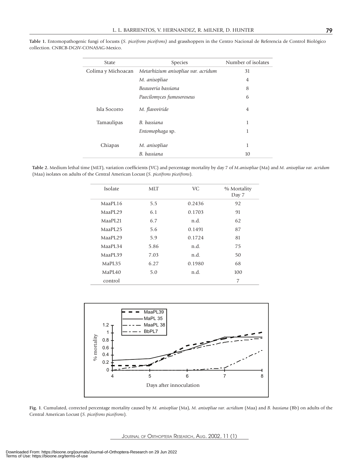| <b>State</b>       | Species                             | Number of isolates |
|--------------------|-------------------------------------|--------------------|
| Colima y Michoacan | Metarhizium anisopliae var. acridum | 31                 |
|                    | M. anisopliae                       | 4                  |
|                    | Beauveria bassiana                  | 8                  |
|                    | Paecilomyces fumosoroseus           | 6                  |
| Isla Socorro       | M. flavoviride                      | $\overline{4}$     |
| Tamaulipas         | B. bassiana                         | 1                  |
|                    | Entomophaga sp.                     | 1                  |
|                    |                                     |                    |
| Chiapas            | M. anisopliae                       | 1                  |
|                    | B. bassiana                         | 10                 |

**Table 1.** Entomopathogenic fungi of locusts (*S. piceifrons piceifrons)* and grasshoppers in the Centro Nacional de Referencia de Control Biológico collection. CNRCB-DGSV-CONASAG-Mexico.

Table 2. Medium lethal time (MLT), variation coefficients (VC) and percentage mortality by day 7 of *M.anisopliae* (Ma) and *M. anisopliae var. acridum* (Maa) isolates on adults of the Central American Locust (*S. piceifrons piceifrons*).

| Isolate             | <b>MLT</b> | <b>VC</b> | % Mortality<br>Day 7 |
|---------------------|------------|-----------|----------------------|
| MaaPL16             | 5.5        | 0.2436    | 92                   |
| MaaPI.29            | 6.1        | 0.1703    | 91                   |
| MaaPL <sub>21</sub> | 6.7        | n.d.      | 62                   |
| MaaPL25             | 5.6        | 0.1491    | 87                   |
| MaaPL <sub>29</sub> | 5.9        | 0.1724    | 81                   |
| MaaPL34             | 5.86       | n.d.      | 75                   |
| MaaPL39             | 7.03       | n.d.      | 50                   |
| MaPL35              | 6.27       | 0.1980    | 68                   |
| MaPI.40             | 5.0        | n.d.      | 100                  |
| control             |            |           | 7                    |



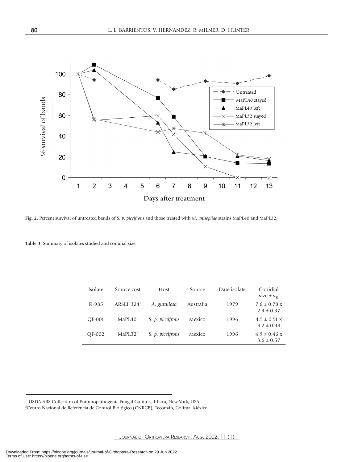

**Fig. 2.** Percent survival of untreated bands of *S. p. piceifrons* and those treated with *M. anisopliae* strains MaPL40 and MaPL32.

**Table 3.** Summary of isolates studied and conidial size.

| <b>Isolate</b> | Source cost          | Host             | Source    | Date isolate | Conidial<br>size $\pm$ s <sub><math>\overline{y}</math></sub> |
|----------------|----------------------|------------------|-----------|--------------|---------------------------------------------------------------|
| $F1-985$       | ARSEF $3241$         | A. guttulosa     | Australia | 1979         | $7.6 \pm 0.78$ x<br>$2.9 \pm 0.37$                            |
| OF-001         | MaPI.40 <sup>1</sup> | S. p. piceifrons | Mexico    | 1996         | $4.5 \pm 0.51$ x<br>$3.2 \pm 0.38$                            |
| OF-002         | MaPI.32 <sup>2</sup> | S. p. piceifrons | Mexico    | 1996         | $4.9 \pm 0.46$ x<br>$3.6 \pm 0.57$                            |

<sup>&</sup>lt;sup>1</sup> USDA-ARS Collection of Entomopathogenic Fungal Cultures, Ithaca, New York, USA.

<sup>2</sup> Centro Nacional de Referencia de Control Biológico (CNRCB), Tecomán, Colima, México.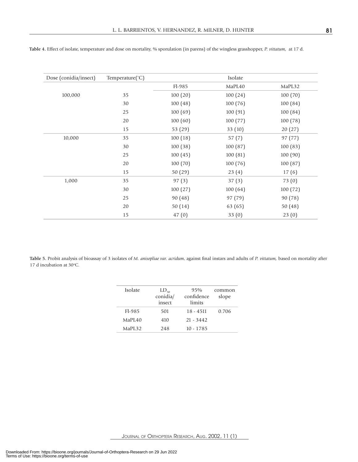| Dose (conidia/insect) | Temperature(°C) |          | Isolate |         |
|-----------------------|-----------------|----------|---------|---------|
|                       |                 | Fl-985   | MaPL40  | MaPL32  |
| 100,000               | 35              | 100(20)  | 100(24) | 100(70) |
|                       | 30              | 100(48)  | 100(76) | 100(84) |
|                       | 25              | 100(69)  | 100(91) | 100(84) |
|                       | 20              | 100(60)  | 100(77) | 100(78) |
|                       | 15              | 53 (29)  | 33(10)  | 20(27)  |
| 10,000                | 35              | 100(18)  | 57(7)   | 97 (77) |
|                       | 30              | 100(38)  | 100(87) | 100(83) |
|                       | 25              | 100(45)  | 100(81) | 100(90) |
|                       | 20              | 100 (70) | 100(76) | 100(87) |
|                       | 15              | 50(29)   | 23(4)   | 17(6)   |
| 1,000                 | 35              | 97(3)    | 37(3)   | 73(0)   |
|                       | 30              | 100(27)  | 100(64) | 100(72) |
|                       | 25              | 90(48)   | 97 (79) | 90 (78) |
|                       | 20              | 50(14)   | 63 (65) | 50(48)  |
|                       | 15              | 47(0)    | 33(0)   | 23(0)   |

**Table 4.** Effect of isolate, temperature and dose on mortality, % sporulation (in parens) of the wingless grasshopper, *P. vittatum*, at 17 d.

Table 5. Probit analysis of bioassay of 3 isolates of *M. anisopliae var. acridum*, against final instars and adults of *P. vittatum*, based on mortality after 17 d incubation at 30°C.

| Isolate            | $LD_{50}$<br>conidia/<br>insect | 95%<br>confidence<br>limits | common<br>slope |
|--------------------|---------------------------------|-----------------------------|-----------------|
| $F1-985$           | 501                             | $18 - 4511$                 | 0.706           |
| MaPL <sub>40</sub> | 410                             | $21 - 3442$                 |                 |
| MaPI.32            | 248                             | $10 - 1785$                 |                 |